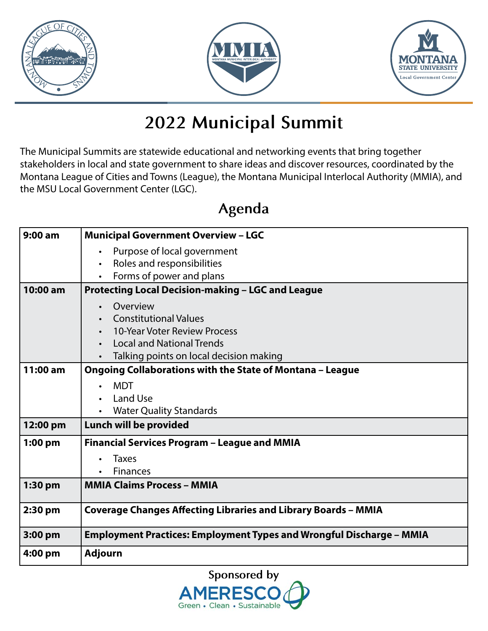





### **2022 Municipal Summit**

The Municipal Summits are statewide educational and networking events that bring together stakeholders in local and state government to share ideas and discover resources, coordinated by the Montana League of Cities and Towns (League), the Montana Municipal Interlocal Authority (MMIA), and the MSU Local Government Center (LGC).

### **Agenda**

| $9:00$ am | <b>Municipal Government Overview - LGC</b>                                                                                                                                                                                                             |
|-----------|--------------------------------------------------------------------------------------------------------------------------------------------------------------------------------------------------------------------------------------------------------|
|           | Purpose of local government<br>$\bullet$<br>Roles and responsibilities<br>$\bullet$<br>Forms of power and plans                                                                                                                                        |
| 10:00 am  | <b>Protecting Local Decision-making - LGC and League</b>                                                                                                                                                                                               |
| 11:00 am  | Overview<br><b>Constitutional Values</b><br>10-Year Voter Review Process<br><b>Local and National Trends</b><br>Talking points on local decision making<br><b>Ongoing Collaborations with the State of Montana - League</b><br><b>MDT</b><br>$\bullet$ |
|           | Land Use<br><b>Water Quality Standards</b>                                                                                                                                                                                                             |
| 12:00 pm  | Lunch will be provided                                                                                                                                                                                                                                 |
| $1:00$ pm | Financial Services Program - League and MMIA<br><b>Taxes</b><br><b>Finances</b>                                                                                                                                                                        |
| 1:30 pm   | <b>MMIA Claims Process - MMIA</b>                                                                                                                                                                                                                      |
| $2:30$ pm | <b>Coverage Changes Affecting Libraries and Library Boards - MMIA</b>                                                                                                                                                                                  |
| 3:00 pm   | <b>Employment Practices: Employment Types and Wrongful Discharge - MMIA</b>                                                                                                                                                                            |
| 4:00 pm   | <b>Adjourn</b>                                                                                                                                                                                                                                         |

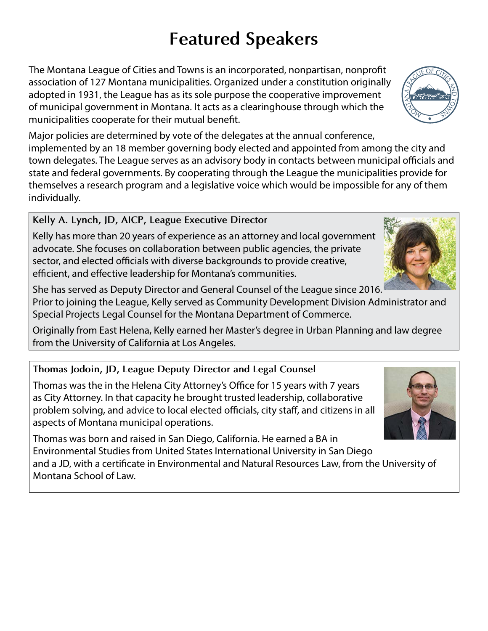## **Featured Speakers**

The Montana League of Cities and Towns is an incorporated, nonpartisan, nonprofit association of 127 Montana municipalities. Organized under a constitution originally adopted in 1931, the League has as its sole purpose the cooperative improvement of municipal government in Montana. It acts as a clearinghouse through which the municipalities cooperate for their mutual benefit.

Major policies are determined by vote of the delegates at the annual conference, implemented by an 18 member governing body elected and appointed from among the city and town delegates. The League serves as an advisory body in contacts between municipal officials and state and federal governments. By cooperating through the League the municipalities provide for themselves a research program and a legislative voice which would be impossible for any of them individually.

**Kelly A. Lynch, JD, AICP, League Executive Director**

Kelly has more than 20 years of experience as an attorney and local government advocate. She focuses on collaboration between public agencies, the private sector, and elected officials with diverse backgrounds to provide creative, efficient, and effective leadership for Montana's communities.

She has served as Deputy Director and General Counsel of the League since 2016.

Prior to joining the League, Kelly served as Community Development Division Administrator and Special Projects Legal Counsel for the Montana Department of Commerce.

Originally from East Helena, Kelly earned her Master's degree in Urban Planning and law degree from the University of California at Los Angeles.

#### **Thomas Jodoin, JD, League Deputy Director and Legal Counsel**

Thomas was the in the Helena City Attorney's Office for 15 years with 7 years as City Attorney. In that capacity he brought trusted leadership, collaborative problem solving, and advice to local elected officials, city staff, and citizens in all aspects of Montana municipal operations.

Thomas was born and raised in San Diego, California. He earned a BA in Environmental Studies from United States International University in San Diego and a JD, with a certificate in Environmental and Natural Resources Law, from the University of Montana School of Law.





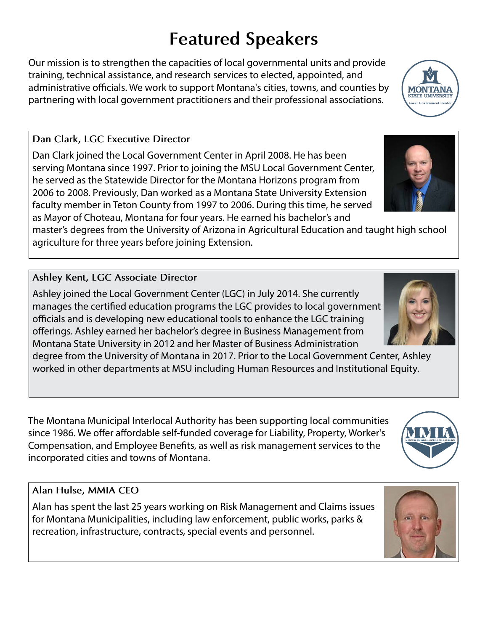# **Featured Speakers**

Our mission is to strengthen the capacities of local governmental units and provide training, technical assistance, and research services to elected, appointed, and administrative officials. We work to support Montana's cities, towns, and counties by partnering with local government practitioners and their professional associations.

#### **Dan Clark, LGC Executive Director**

Dan Clark joined the Local Government Center in April 2008. He has been serving Montana since 1997. Prior to joining the MSU Local Government Center, he served as the Statewide Director for the Montana Horizons program from 2006 to 2008. Previously, Dan worked as a Montana State University Extension faculty member in Teton County from 1997 to 2006. During this time, he served as Mayor of Choteau, Montana for four years. He earned his bachelor's and

master's degrees from the University of Arizona in Agricultural Education and taught high school agriculture for three years before joining Extension.

#### **Ashley Kent, LGC Associate Director**

Ashley joined the Local Government Center (LGC) in July 2014. She currently manages the certified education programs the LGC provides to local government officials and is developing new educational tools to enhance the LGC training offerings. Ashley earned her bachelor's degree in Business Management from Montana State University in 2012 and her Master of Business Administration

degree from the University of Montana in 2017. Prior to the Local Government Center, Ashley worked in other departments at MSU including Human Resources and Institutional Equity.

The Montana Municipal Interlocal Authority has been supporting local communities since 1986. We offer affordable self-funded coverage for Liability, Property, Worker's Compensation, and Employee Benefits, as well as risk management services to the incorporated cities and towns of Montana.

#### **Alan Hulse, MMIA CEO**

Alan has spent the last 25 years working on Risk Management and Claims issues for Montana Municipalities, including law enforcement, public works, parks & recreation, infrastructure, contracts, special events and personnel.